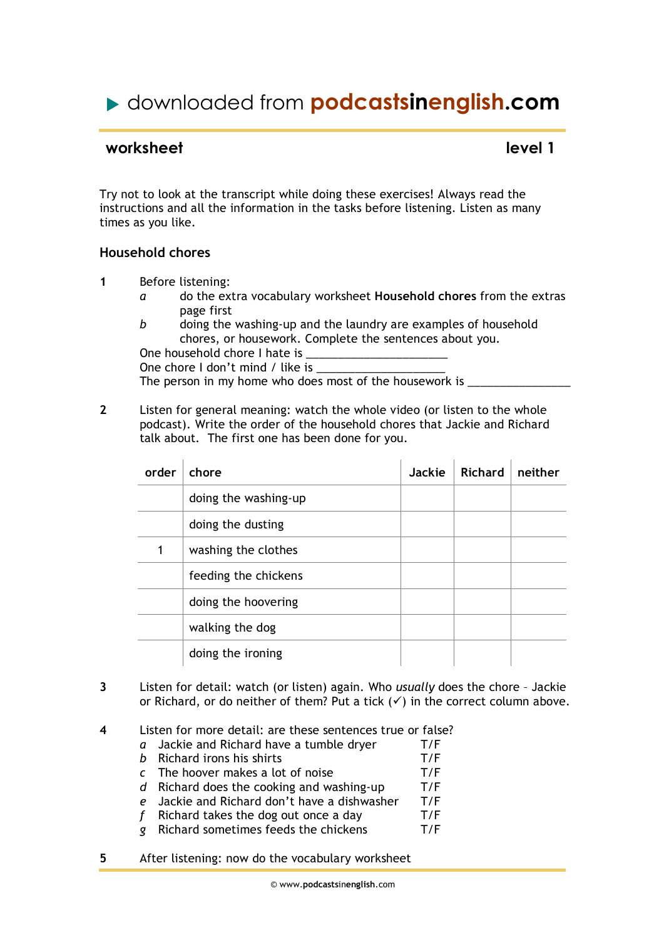# downloaded from **podcastsinenglish.com**

## **worksheet** level 1

Try not to look at the transcript while doing these exercises! Always read the instructions and all the information in the tasks before listening. Listen as many times as you like.

#### **Household chores**

- **1** Before listening:
	- *a* do the extra vocabulary worksheet **Household chores** from the extras page first
	- *b* doing the washing-up and the laundry are examples of household chores, or housework. Complete the sentences about you.

One household chore I hate is

One chore I don't mind / like is

The person in my home who does most of the housework is \_\_\_\_\_\_\_\_\_\_\_\_\_\_\_\_\_\_\_\_\_\_\_\_

**2** Listen for general meaning: watch the whole video (or listen to the whole podcast). Write the order of the household chores that Jackie and Richard talk about*.* The first one has been done for you.

| order | chore                | <b>Jackie</b> | <b>Richard</b> | neither |
|-------|----------------------|---------------|----------------|---------|
|       | doing the washing-up |               |                |         |
|       | doing the dusting    |               |                |         |
|       | washing the clothes  |               |                |         |
|       | feeding the chickens |               |                |         |
|       | doing the hoovering  |               |                |         |
|       | walking the dog      |               |                |         |
|       | doing the ironing    |               |                |         |

- **3** Listen for detail: watch (or listen) again. Who *usually* does the chore Jackie or Richard, or do neither of them? Put a tick  $(\checkmark)$  in the correct column above.
- **4** Listen for more detail: are these sentences true or false?
	- *a* Jackie and Richard have a tumble dryer T/F
	- *b* Richard irons his shirts T/F *c* The hoover makes a lot of noise T/F
	- *d* Richard does the cooking and washing-up T/F
	- *e* Jackie and Richard don't have a dishwasher T/F
	- *f* Richard takes the dog out once a day T/F
	- *g* Richard sometimes feeds the chickens T/F
- **5** After listening: now do the vocabulary worksheet